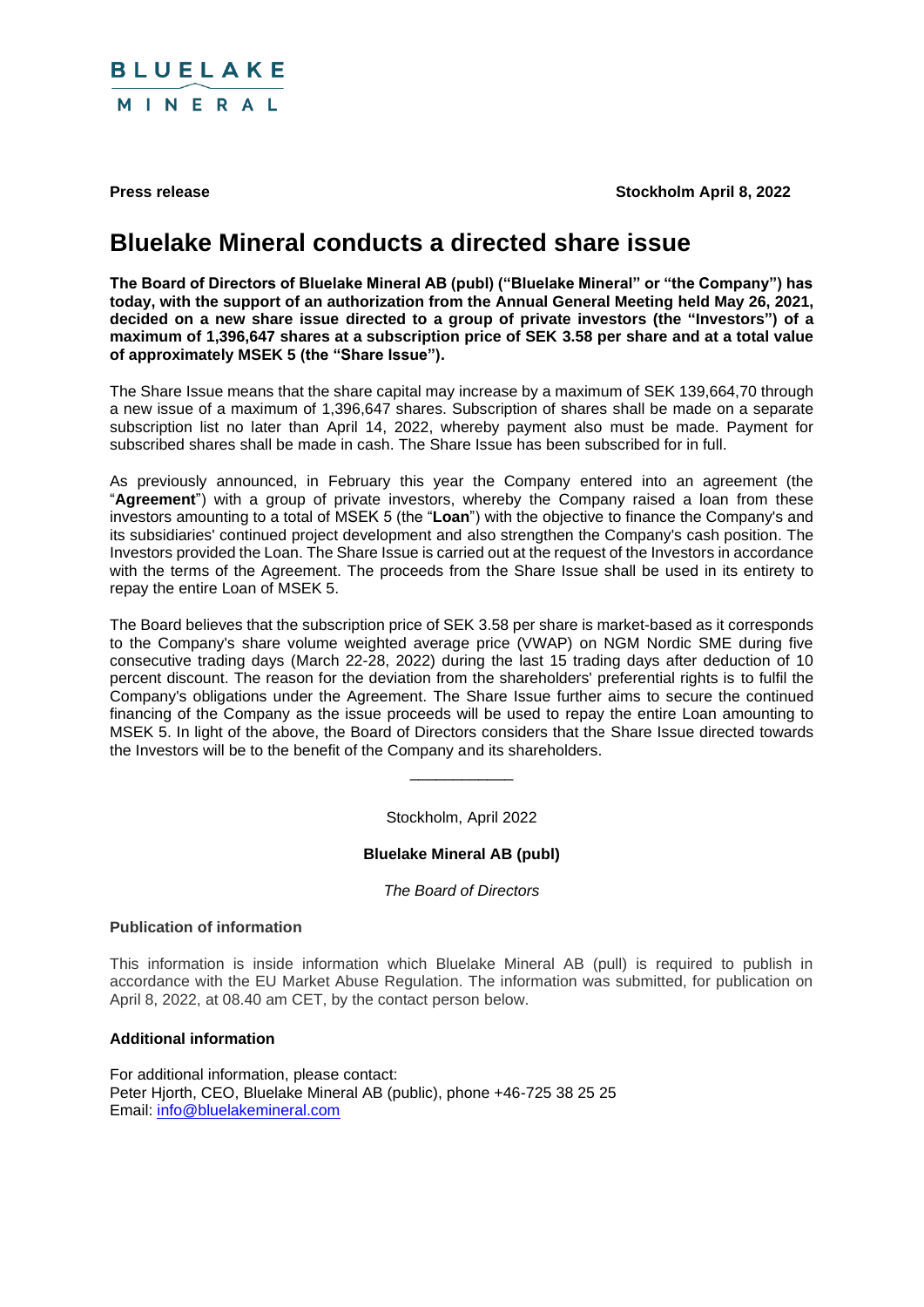

**Press release Stockholm April 8, 2022** 

# **Bluelake Mineral conducts a directed share issue**

**The Board of Directors of Bluelake Mineral AB (publ) ("Bluelake Mineral" or "the Company") has today, with the support of an authorization from the Annual General Meeting held May 26, 2021, decided on a new share issue directed to a group of private investors (the "Investors") of a maximum of 1,396,647 shares at a subscription price of SEK 3.58 per share and at a total value of approximately MSEK 5 (the "Share Issue").**

The Share Issue means that the share capital may increase by a maximum of SEK 139,664,70 through a new issue of a maximum of 1,396,647 shares. Subscription of shares shall be made on a separate subscription list no later than April 14, 2022, whereby payment also must be made. Payment for subscribed shares shall be made in cash. The Share Issue has been subscribed for in full.

As previously announced, in February this year the Company entered into an agreement (the "**Agreement**") with a group of private investors, whereby the Company raised a loan from these investors amounting to a total of MSEK 5 (the "**Loan**") with the objective to finance the Company's and its subsidiaries' continued project development and also strengthen the Company's cash position. The Investors provided the Loan. The Share Issue is carried out at the request of the Investors in accordance with the terms of the Agreement. The proceeds from the Share Issue shall be used in its entirety to repay the entire Loan of MSEK 5.

The Board believes that the subscription price of SEK 3.58 per share is market-based as it corresponds to the Company's share volume weighted average price (VWAP) on NGM Nordic SME during five consecutive trading days (March 22-28, 2022) during the last 15 trading days after deduction of 10 percent discount. The reason for the deviation from the shareholders' preferential rights is to fulfil the Company's obligations under the Agreement. The Share Issue further aims to secure the continued financing of the Company as the issue proceeds will be used to repay the entire Loan amounting to MSEK 5. In light of the above, the Board of Directors considers that the Share Issue directed towards the Investors will be to the benefit of the Company and its shareholders.

Stockholm, April 2022

\_\_\_\_\_\_\_\_\_\_\_\_

## **Bluelake Mineral AB (publ)**

*The Board of Directors*

### **Publication of information**

This information is inside information which Bluelake Mineral AB (pull) is required to publish in accordance with the EU Market Abuse Regulation. The information was submitted, for publication on April 8, 2022, at 08.40 am CET, by the contact person below.

### **Additional information**

For additional information, please contact: Peter Hjorth, CEO, Bluelake Mineral AB (public), phone +46-725 38 25 25 Email: [info@bluelakemineral.com](mailto:info@bluelakemineral.com)